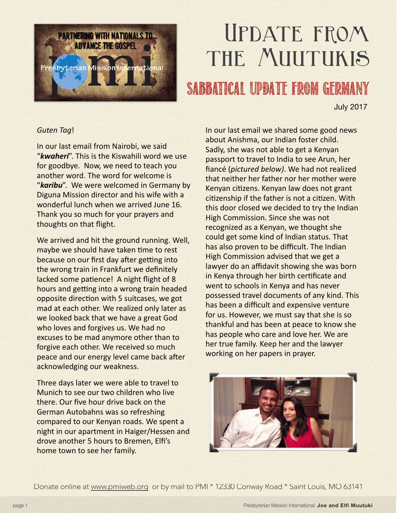

## Update from THE MUUTUKIS

## SABBatical UPDATE FROM GERMANY

July 2017

## Guten Tag!

In our last email from Nairobi, we said "**kwaheri**". This is the Kiswahili word we use for goodbye. Now, we need to teach you another word. The word for welcome is "karibu". We were welcomed in Germany by Diguna Mission director and his wife with a wonderful lunch when we arrived June 16. Thank you so much for your prayers and thoughts on that flight.

We arrived and hit the ground running. Well, maybe we should have taken time to rest because on our first day after getting into the wrong train in Frankfurt we definitely lacked some patience! A night flight of 8 hours and getting into a wrong train headed opposite direction with 5 suitcases, we got mad at each other. We realized only later as we looked back that we have a great God who loves and forgives us. We had no excuses to be mad anymore other than to forgive each other. We received so much peace and our energy level came back after acknowledging our weakness.

Three days later we were able to travel to Munich to see our two children who live there. Our five hour drive back on the German Autobahns was so refreshing compared to our Kenyan roads. We spent a night in our apartment in Haiger/Hessen and drove another 5 hours to Bremen, Elfi's home town to see her family.

In our last email we shared some good news about Anishma, our Indian foster child. Sadly, she was not able to get a Kenyan passport to travel to India to see Arun, her fiancé (pictured below). We had not realized that neither her father nor her mother were Kenyan citizens. Kenyan law does not grant citizenship if the father is not a citizen. With this door closed we decided to try the Indian High Commission. Since she was not recognized as a Kenyan, we thought she could get some kind of Indian status. That has also proven to be difficult. The Indian High Commission advised that we get a lawyer do an affidavit showing she was born in Kenya through her birth certificate and went to schools in Kenya and has never possessed travel documents of any kind. This has been a difficult and expensive venture for us. However, we must say that she is so thankful and has been at peace to know she has people who care and love her. We are her true family. Keep her and the lawyer working on her papers in prayer.



Donate online at [www.pmiweb.org](http://www.pmiweb.org) or by mail to PMI \* 12330 Conway Road \* Saint Louis, MO 63141